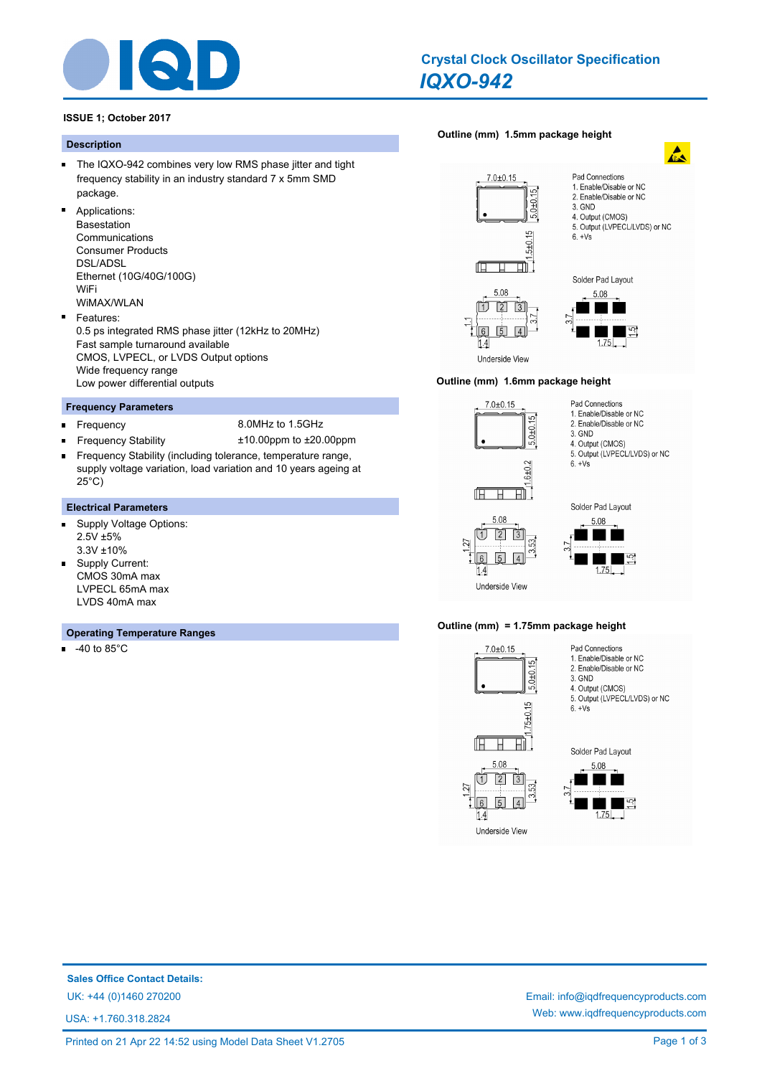

# *IQXO-942* **Crystal Clock Oscillator Specification**

 $\mathbf{A}$ 

# **ISSUE 1; October 2017**

### **Description**

- The IQXO-942 combines very low RMS phase jitter and tight frequency stability in an industry standard 7 x 5mm SMD package.
- $\blacksquare$ Applications: Basestation Communications Consumer Products DSL/ADSL Ethernet (10G/40G/100G) WiFi WiMAX/WLAN
- Features:  $\blacksquare$ 0.5 ps integrated RMS phase jitter (12kHz to 20MHz) Fast sample turnaround available CMOS, LVPECL, or LVDS Output options Wide frequency range Low power differential outputs

## **Frequency Parameters**

- $\blacksquare$
- Frequency 8.0MHz to 1.5GHz
- Frequency Stability ±10.00ppm to ±20.00ppm Frequency Stability (including tolerance, temperature range, m. supply voltage variation, load variation and 10 years ageing at 25°C)

#### **Electrical Parameters**

- $\blacksquare$ Supply Voltage Options: 2.5V ±5% 3.3V ±10%
- Supply Current:  $\blacksquare$ CMOS 30mA max LVPECL 65mA max LVDS 40mA max

#### **Operating Temperature Ranges**

 $-40$  to 85 $^{\circ}$ C



#### **Outline (mm) 1.6mm package height**







Pad Connections

3. GND 4. Output (CMOS) 5. Output (LVPECL/LVDS) or NC

 $6. +Vs$ 

1. Enable/Disable or NC

2. Enable/Disable or NC

Underside View

5.08

 $\overline{\mathbb{U}}$  $\boxed{2}$ 

 $1.4$ 

27 6

# **Outline (mm) = 1.75mm package height**



# **Sales Office Contact Details:**

USA: +1.760.318.2824

UK: +44 (0)1460 270200 Email: info@iqdfrequencyproducts.com Web: www.iqdfrequencyproducts.com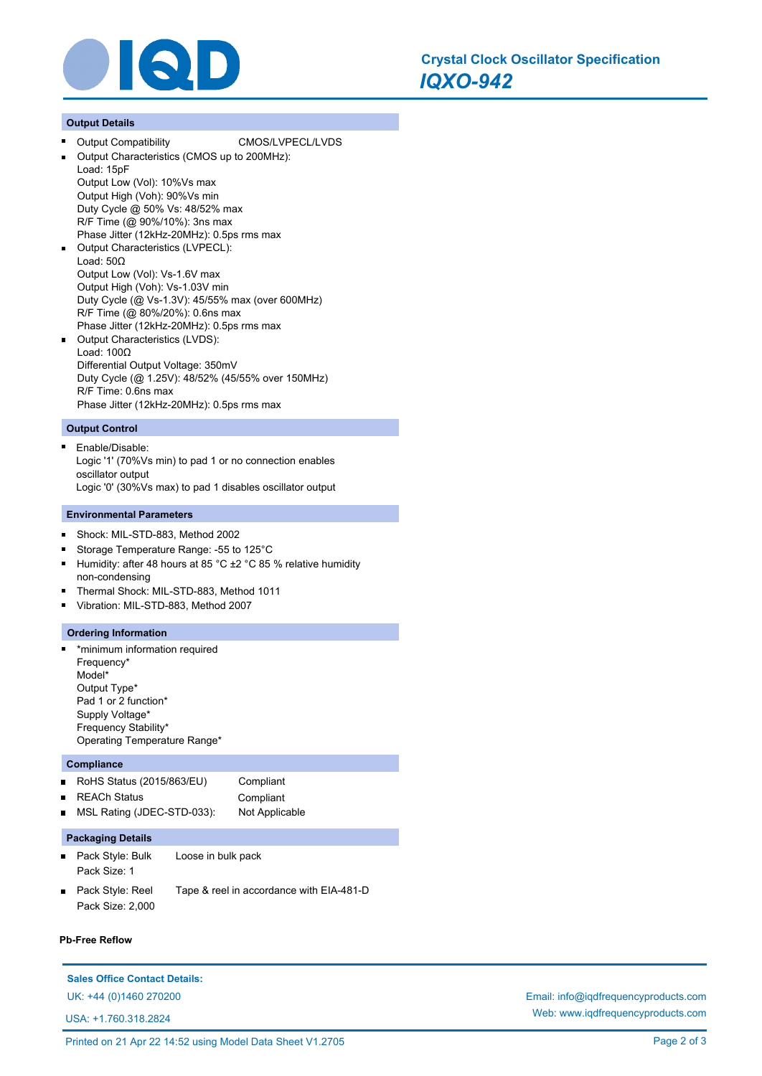

# **Output Details**

- Output Compatibility CMOS/LVPECL/LVDS
- Output Characteristics (CMOS up to 200MHz):

Load: 15pF Output Low (Vol): 10%Vs max Output High (Voh): 90%Vs min Duty Cycle @ 50% Vs: 48/52% max

- R/F Time (@ 90%/10%): 3ns max Phase Jitter (12kHz-20MHz): 0.5ps rms max Output Characteristics (LVPECL): Load: 50Ω Output Low (Vol): Vs-1.6V max Output High (Voh): Vs-1.03V min Duty Cycle (@ Vs-1.3V): 45/55% max (over 600MHz) R/F Time (@ 80%/20%): 0.6ns max
- Phase Jitter (12kHz-20MHz): 0.5ps rms max Output Characteristics (LVDS): Load: 100Ω Differential Output Voltage: 350mV Duty Cycle (@ 1.25V): 48/52% (45/55% over 150MHz) R/F Time: 0.6ns max Phase Jitter (12kHz-20MHz): 0.5ps rms max

# **Output Control**

 $\blacksquare$ Enable/Disable: Logic '1' (70%Vs min) to pad 1 or no connection enables oscillator output Logic '0' (30%Vs max) to pad 1 disables oscillator output

#### **Environmental Parameters**

- Shock: MIL-STD-883, Method 2002  $\blacksquare$
- Storage Temperature Range: -55 to 125°C
- Humidity: after 48 hours at 85 °C ±2 °C 85 % relative humidity  $\blacksquare$ non-condensing
- Thermal Shock: MIL-STD-883, Method 1011
- Vibration: MIL-STD-883, Method 2007

#### **Ordering Information**

\*minimum information required n Frequency\* Model\* Output Type\* Pad 1 or 2 function\* Supply Voltage\* Frequency Stability\* Operating Temperature Range\*

# **Compliance**

|                | RoHS Status $(2015/863/EU)$ | Compliant      |
|----------------|-----------------------------|----------------|
|                | ■ REACh Status              | Compliant      |
| $\blacksquare$ | MSL Rating (JDEC-STD-033):  | Not Applicable |
|                |                             |                |

#### **Packaging Details**

- Pack Style: Bulk Loose in bulk pack Pack Size: 1
- Pack Style: Reel Tape & reel in accordance with EIA-481-D Pack Size: 2,000

#### **Pb-Free Reflow**

# **Sales Office Contact Details:**

USA: +1.760.318.2824

UK: +44 (0)1460 270200 Email: info@iqdfrequencyproducts.com Web: www.iqdfrequencyproducts.com